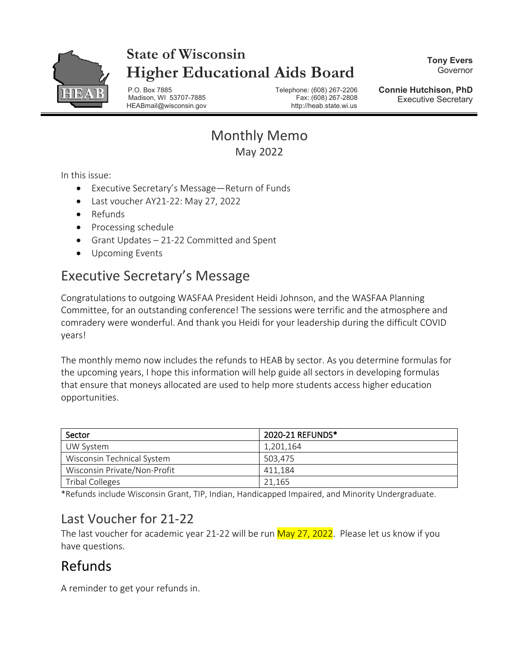

# **State of Wisconsin Higher Educational Aids Board**

**Tony Evers** Governor

P.O. Box 7885 Telephone: (608) 267-2206 Madison, WI 53707-7885 HEABmail@wisconsin.gov http://heab.state.wi.us

**Connie Hutchison, PhD** Executive Secretary

### Monthly Memo May 2022

In this issue:

- Executive Secretary's Message—Return of Funds
- Last voucher AY21-22: May 27, 2022
- Refunds
- Processing schedule
- Grant Updates 21-22 Committed and Spent
- Upcoming Events

## Executive Secretary's Message

Congratulations to outgoing WASFAA President Heidi Johnson, and the WASFAA Planning Committee, for an outstanding conference! The sessions were terrific and the atmosphere and comradery were wonderful. And thank you Heidi for your leadership during the difficult COVID years!

The monthly memo now includes the refunds to HEAB by sector. As you determine formulas for the upcoming years, I hope this information will help guide all sectors in developing formulas that ensure that moneys allocated are used to help more students access higher education opportunities.

| Sector                       | 2020-21 REFUNDS* |
|------------------------------|------------------|
| UW System                    | 1,201,164        |
| Wisconsin Technical System   | 503.475          |
| Wisconsin Private/Non-Profit | 411.184          |
| <b>Tribal Colleges</b>       | 21.165           |

\*Refunds include Wisconsin Grant, TIP, Indian, Handicapped Impaired, and Minority Undergraduate.

### Last Voucher for 21-22

The last voucher for academic year 21-22 will be run May 27, 2022. Please let us know if you have questions.

# Refunds

A reminder to get your refunds in.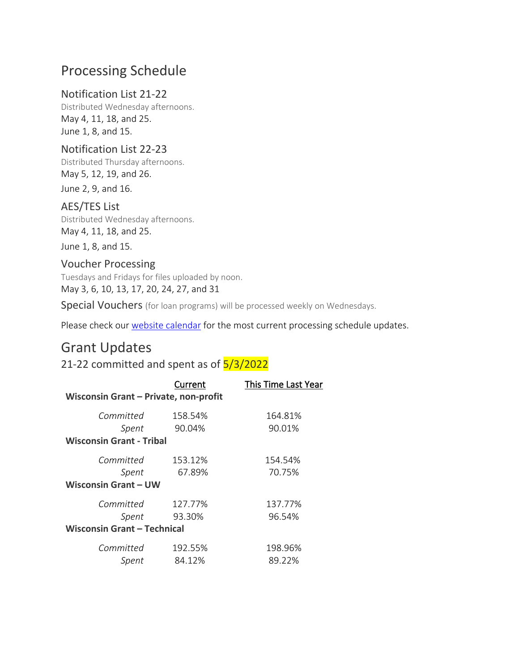### Processing Schedule

#### Notification List 21-22

Distributed Wednesday afternoons. May 4, 11, 18, and 25. June 1, 8, and 15.

#### Notification List 22-23

Distributed Thursday afternoons. May 5, 12, 19, and 26.

June 2, 9, and 16.

#### AES/TES List

Distributed Wednesday afternoons. May 4, 11, 18, and 25.

June 1, 8, and 15.

#### Voucher Processing

Tuesdays and Fridays for files uploaded by noon. May 3, 6, 10, 13, 17, 20, 24, 27, and 31

Special Vouchers (for loan programs) will be processed weekly on Wednesdays.

Please check our [website calendar](https://heab.state.wi.us/pschedule.html) for the most current processing schedule updates.

### Grant Updates

21-22 committed and spent as of 5/3/2022

| Current                               | This Time Last Year |  |
|---------------------------------------|---------------------|--|
| Wisconsin Grant - Private, non-profit |                     |  |
| 158.54%                               | 164.81%             |  |
| 90.04%                                | 90.01%              |  |
| <b>Wisconsin Grant - Tribal</b>       |                     |  |
| 153.12%                               | 154.54%             |  |
| 67.89%                                | 70.75%              |  |
| <b>Wisconsin Grant - UW</b>           |                     |  |
| 127.77%                               | 137.77%             |  |
| 93.30%                                | 96.54%              |  |
| <b>Wisconsin Grant - Technical</b>    |                     |  |
| 192.55%                               | 198.96%             |  |
| 84.12%                                | 89.22%              |  |
|                                       |                     |  |